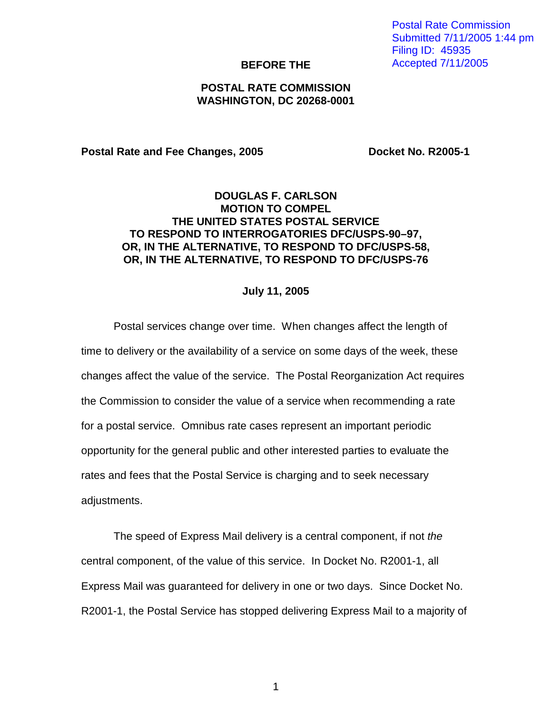Postal Rate Commission Submitted 7/11/2005 1:44 pm Filing ID: 45935 Accepted 7/11/2005

#### **BEFORE THE**

## **POSTAL RATE COMMISSION WASHINGTON, DC 20268-0001**

Postal Rate and Fee Changes, 2005 **Docket No. R2005-1** 

## **DOUGLAS F. CARLSON MOTION TO COMPEL THE UNITED STATES POSTAL SERVICE TO RESPOND TO INTERROGATORIES DFC/USPS-90–97, OR, IN THE ALTERNATIVE, TO RESPOND TO DFC/USPS-58, OR, IN THE ALTERNATIVE, TO RESPOND TO DFC/USPS-76**

#### **July 11, 2005**

Postal services change over time. When changes affect the length of time to delivery or the availability of a service on some days of the week, these changes affect the value of the service. The Postal Reorganization Act requires the Commission to consider the value of a service when recommending a rate for a postal service. Omnibus rate cases represent an important periodic opportunity for the general public and other interested parties to evaluate the rates and fees that the Postal Service is charging and to seek necessary adjustments.

The speed of Express Mail delivery is a central component, if not the central component, of the value of this service. In Docket No. R2001-1, all Express Mail was guaranteed for delivery in one or two days. Since Docket No. R2001-1, the Postal Service has stopped delivering Express Mail to a majority of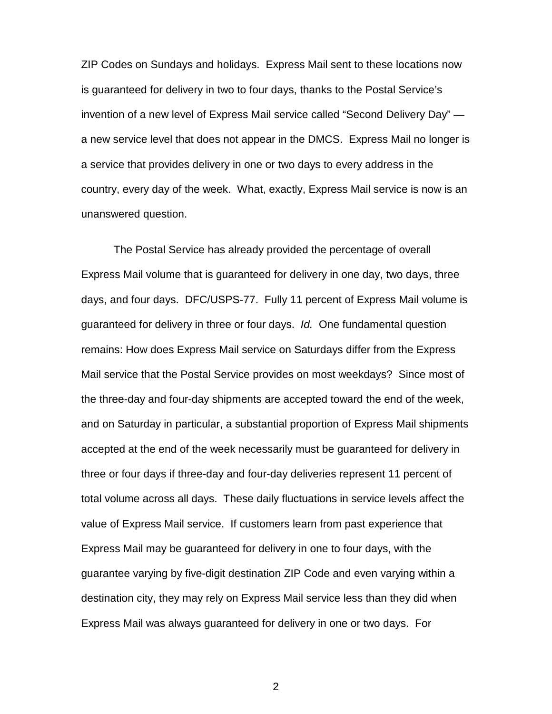ZIP Codes on Sundays and holidays. Express Mail sent to these locations now is guaranteed for delivery in two to four days, thanks to the Postal Service's invention of a new level of Express Mail service called "Second Delivery Day" a new service level that does not appear in the DMCS. Express Mail no longer is a service that provides delivery in one or two days to every address in the country, every day of the week. What, exactly, Express Mail service is now is an unanswered question.

The Postal Service has already provided the percentage of overall Express Mail volume that is guaranteed for delivery in one day, two days, three days, and four days. DFC/USPS-77. Fully 11 percent of Express Mail volume is guaranteed for delivery in three or four days. Id. One fundamental question remains: How does Express Mail service on Saturdays differ from the Express Mail service that the Postal Service provides on most weekdays? Since most of the three-day and four-day shipments are accepted toward the end of the week, and on Saturday in particular, a substantial proportion of Express Mail shipments accepted at the end of the week necessarily must be guaranteed for delivery in three or four days if three-day and four-day deliveries represent 11 percent of total volume across all days. These daily fluctuations in service levels affect the value of Express Mail service. If customers learn from past experience that Express Mail may be guaranteed for delivery in one to four days, with the guarantee varying by five-digit destination ZIP Code and even varying within a destination city, they may rely on Express Mail service less than they did when Express Mail was always guaranteed for delivery in one or two days. For

2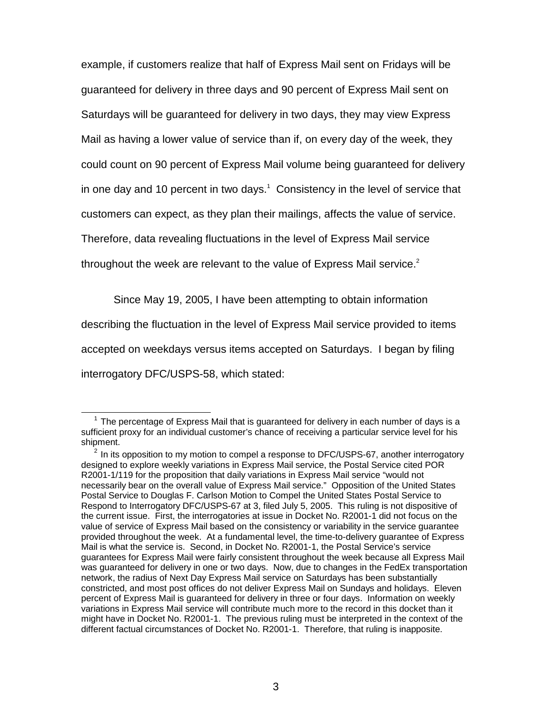example, if customers realize that half of Express Mail sent on Fridays will be guaranteed for delivery in three days and 90 percent of Express Mail sent on Saturdays will be guaranteed for delivery in two days, they may view Express Mail as having a lower value of service than if, on every day of the week, they could count on 90 percent of Express Mail volume being guaranteed for delivery in one day and 10 percent in two days.<sup>1</sup> Consistency in the level of service that customers can expect, as they plan their mailings, affects the value of service. Therefore, data revealing fluctuations in the level of Express Mail service throughout the week are relevant to the value of Express Mail service.<sup>2</sup>

Since May 19, 2005, I have been attempting to obtain information

describing the fluctuation in the level of Express Mail service provided to items

accepted on weekdays versus items accepted on Saturdays. I began by filing

interrogatory DFC/USPS-58, which stated:

 $<sup>1</sup>$  The percentage of Express Mail that is guaranteed for delivery in each number of days is a</sup> sufficient proxy for an individual customer's chance of receiving a particular service level for his shipment.

 $2$  In its opposition to my motion to compel a response to DFC/USPS-67, another interrogatory designed to explore weekly variations in Express Mail service, the Postal Service cited POR R2001-1/119 for the proposition that daily variations in Express Mail service "would not necessarily bear on the overall value of Express Mail service." Opposition of the United States Postal Service to Douglas F. Carlson Motion to Compel the United States Postal Service to Respond to Interrogatory DFC/USPS-67 at 3, filed July 5, 2005. This ruling is not dispositive of the current issue. First, the interrogatories at issue in Docket No. R2001-1 did not focus on the value of service of Express Mail based on the consistency or variability in the service guarantee provided throughout the week. At a fundamental level, the time-to-delivery guarantee of Express Mail is what the service is. Second, in Docket No. R2001-1, the Postal Service's service guarantees for Express Mail were fairly consistent throughout the week because all Express Mail was guaranteed for delivery in one or two days. Now, due to changes in the FedEx transportation network, the radius of Next Day Express Mail service on Saturdays has been substantially constricted, and most post offices do not deliver Express Mail on Sundays and holidays. Eleven percent of Express Mail is guaranteed for delivery in three or four days. Information on weekly variations in Express Mail service will contribute much more to the record in this docket than it might have in Docket No. R2001-1. The previous ruling must be interpreted in the context of the different factual circumstances of Docket No. R2001-1. Therefore, that ruling is inapposite.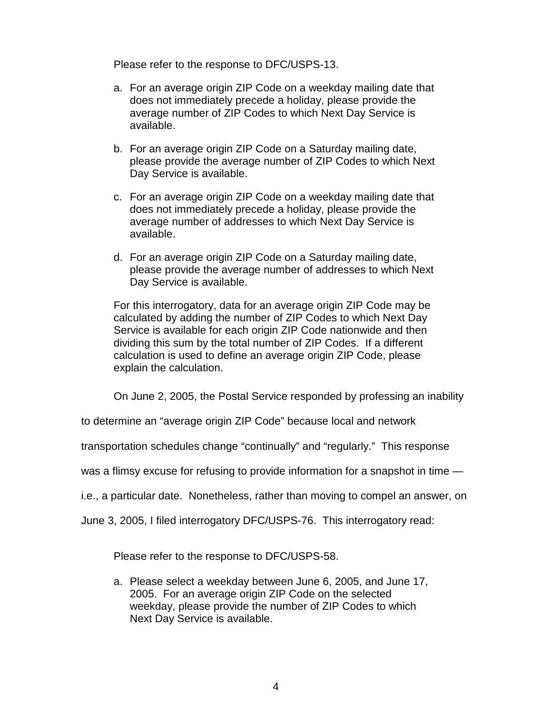Please refer to the response to DFC/USPS-13.

- a. For an average origin ZIP Code on a weekday mailing date that does not immediately precede a holiday, please provide the average number of ZIP Codes to which Next Day Service is available.
- b. For an average origin ZIP Code on a Saturday mailing date, please provide the average number of ZIP Codes to which Next Day Service is available.
- c. For an average origin ZIP Code on a weekday mailing date that does not immediately precede a holiday, please provide the average number of addresses to which Next Day Service is available.
- d. For an average origin ZIP Code on a Saturday mailing date, please provide the average number of addresses to which Next Day Service is available.

For this interrogatory, data for an average origin ZIP Code may be calculated by adding the number of ZIP Codes to which Next Day Service is available for each origin ZIP Code nationwide and then dividing this sum by the total number of ZIP Codes. If a different calculation is used to define an average origin ZIP Code, please explain the calculation.

On June 2, 2005, the Postal Service responded by professing an inability

to determine an "average origin ZIP Code" because local and network

transportation schedules change "continually" and "regularly." This response

was a flimsy excuse for refusing to provide information for a snapshot in time —

i.e., a particular date. Nonetheless, rather than moving to compel an answer, on

June 3, 2005, I filed interrogatory DFC/USPS-76. This interrogatory read:

Please refer to the response to DFC/USPS-58.

a. Please select a weekday between June 6, 2005, and June 17, 2005. For an average origin ZIP Code on the selected weekday, please provide the number of ZIP Codes to which Next Day Service is available.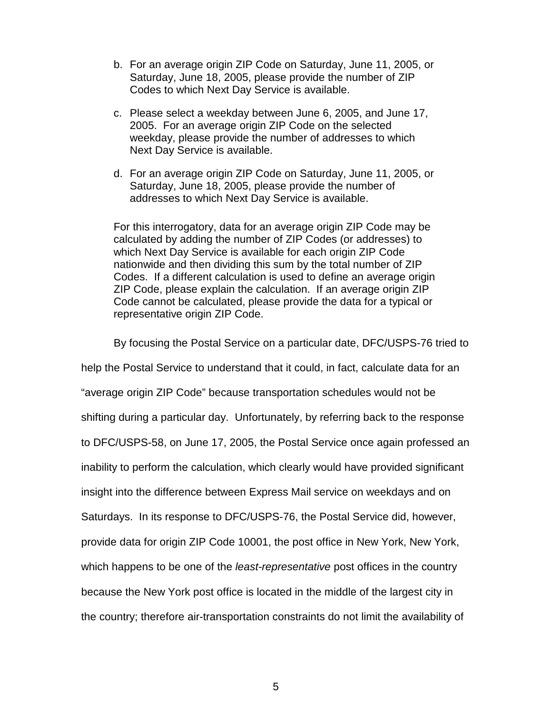- b. For an average origin ZIP Code on Saturday, June 11, 2005, or Saturday, June 18, 2005, please provide the number of ZIP Codes to which Next Day Service is available.
- c. Please select a weekday between June 6, 2005, and June 17, 2005. For an average origin ZIP Code on the selected weekday, please provide the number of addresses to which Next Day Service is available.
- d. For an average origin ZIP Code on Saturday, June 11, 2005, or Saturday, June 18, 2005, please provide the number of addresses to which Next Day Service is available.

For this interrogatory, data for an average origin ZIP Code may be calculated by adding the number of ZIP Codes (or addresses) to which Next Day Service is available for each origin ZIP Code nationwide and then dividing this sum by the total number of ZIP Codes. If a different calculation is used to define an average origin ZIP Code, please explain the calculation. If an average origin ZIP Code cannot be calculated, please provide the data for a typical or representative origin ZIP Code.

By focusing the Postal Service on a particular date, DFC/USPS-76 tried to help the Postal Service to understand that it could, in fact, calculate data for an "average origin ZIP Code" because transportation schedules would not be shifting during a particular day. Unfortunately, by referring back to the response to DFC/USPS-58, on June 17, 2005, the Postal Service once again professed an inability to perform the calculation, which clearly would have provided significant insight into the difference between Express Mail service on weekdays and on Saturdays. In its response to DFC/USPS-76, the Postal Service did, however, provide data for origin ZIP Code 10001, the post office in New York, New York, which happens to be one of the *least-representative* post offices in the country because the New York post office is located in the middle of the largest city in the country; therefore air-transportation constraints do not limit the availability of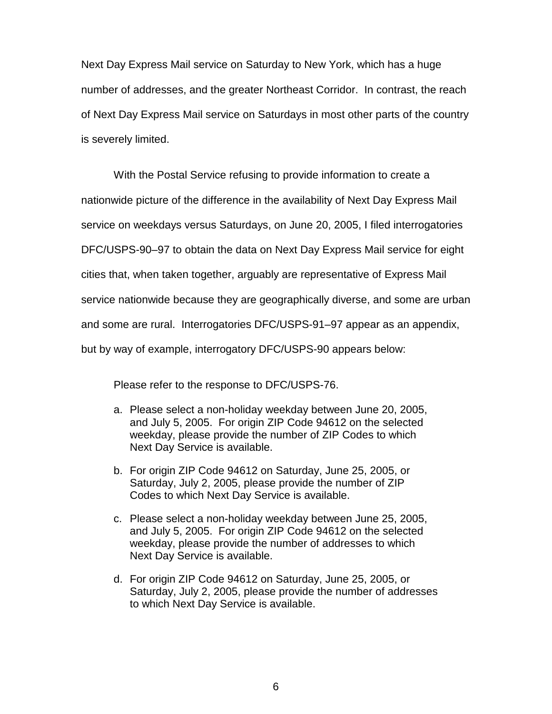Next Day Express Mail service on Saturday to New York, which has a huge number of addresses, and the greater Northeast Corridor. In contrast, the reach of Next Day Express Mail service on Saturdays in most other parts of the country is severely limited.

With the Postal Service refusing to provide information to create a nationwide picture of the difference in the availability of Next Day Express Mail service on weekdays versus Saturdays, on June 20, 2005, I filed interrogatories DFC/USPS-90–97 to obtain the data on Next Day Express Mail service for eight cities that, when taken together, arguably are representative of Express Mail service nationwide because they are geographically diverse, and some are urban and some are rural. Interrogatories DFC/USPS-91–97 appear as an appendix, but by way of example, interrogatory DFC/USPS-90 appears below:

Please refer to the response to DFC/USPS-76.

- a. Please select a non-holiday weekday between June 20, 2005, and July 5, 2005. For origin ZIP Code 94612 on the selected weekday, please provide the number of ZIP Codes to which Next Day Service is available.
- b. For origin ZIP Code 94612 on Saturday, June 25, 2005, or Saturday, July 2, 2005, please provide the number of ZIP Codes to which Next Day Service is available.
- c. Please select a non-holiday weekday between June 25, 2005, and July 5, 2005. For origin ZIP Code 94612 on the selected weekday, please provide the number of addresses to which Next Day Service is available.
- d. For origin ZIP Code 94612 on Saturday, June 25, 2005, or Saturday, July 2, 2005, please provide the number of addresses to which Next Day Service is available.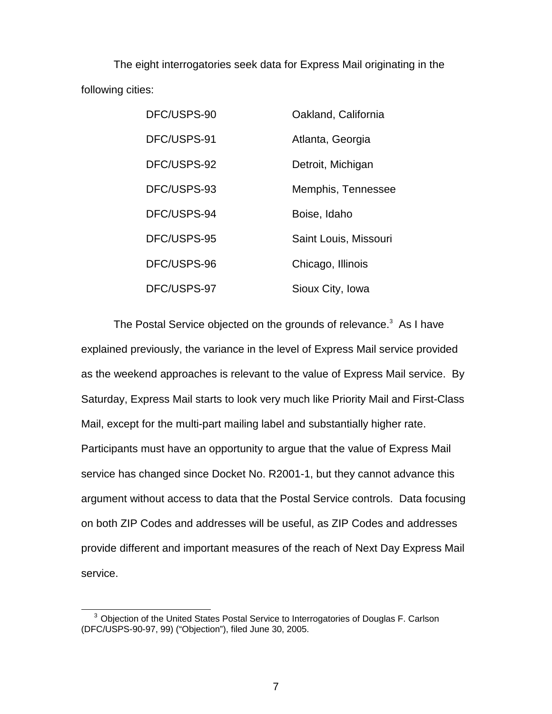The eight interrogatories seek data for Express Mail originating in the following cities:

| DFC/USPS-90 | Oakland, California   |
|-------------|-----------------------|
| DFC/USPS-91 | Atlanta, Georgia      |
| DFC/USPS-92 | Detroit, Michigan     |
| DFC/USPS-93 | Memphis, Tennessee    |
| DFC/USPS-94 | Boise, Idaho          |
| DFC/USPS-95 | Saint Louis, Missouri |
| DFC/USPS-96 | Chicago, Illinois     |
| DFC/USPS-97 | Sioux City, Iowa      |

The Postal Service objected on the grounds of relevance. $3$  As I have explained previously, the variance in the level of Express Mail service provided as the weekend approaches is relevant to the value of Express Mail service. By Saturday, Express Mail starts to look very much like Priority Mail and First-Class Mail, except for the multi-part mailing label and substantially higher rate. Participants must have an opportunity to argue that the value of Express Mail service has changed since Docket No. R2001-1, but they cannot advance this argument without access to data that the Postal Service controls. Data focusing on both ZIP Codes and addresses will be useful, as ZIP Codes and addresses provide different and important measures of the reach of Next Day Express Mail service.

<sup>&</sup>lt;sup>3</sup> Objection of the United States Postal Service to Interrogatories of Douglas F. Carlson (DFC/USPS-90-97, 99) ("Objection"), filed June 30, 2005.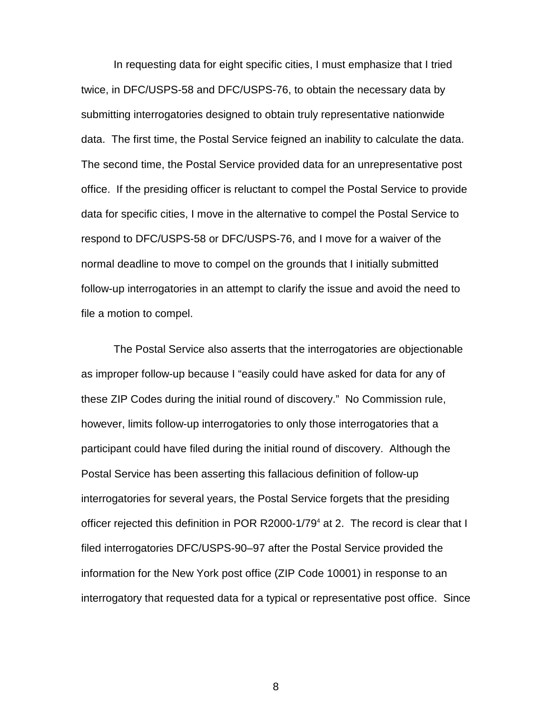In requesting data for eight specific cities, I must emphasize that I tried twice, in DFC/USPS-58 and DFC/USPS-76, to obtain the necessary data by submitting interrogatories designed to obtain truly representative nationwide data. The first time, the Postal Service feigned an inability to calculate the data. The second time, the Postal Service provided data for an unrepresentative post office. If the presiding officer is reluctant to compel the Postal Service to provide data for specific cities, I move in the alternative to compel the Postal Service to respond to DFC/USPS-58 or DFC/USPS-76, and I move for a waiver of the normal deadline to move to compel on the grounds that I initially submitted follow-up interrogatories in an attempt to clarify the issue and avoid the need to file a motion to compel.

The Postal Service also asserts that the interrogatories are objectionable as improper follow-up because I "easily could have asked for data for any of these ZIP Codes during the initial round of discovery." No Commission rule, however, limits follow-up interrogatories to only those interrogatories that a participant could have filed during the initial round of discovery. Although the Postal Service has been asserting this fallacious definition of follow-up interrogatories for several years, the Postal Service forgets that the presiding officer rejected this definition in POR R2000-1/79<sup>4</sup> at 2. The record is clear that I filed interrogatories DFC/USPS-90–97 after the Postal Service provided the information for the New York post office (ZIP Code 10001) in response to an interrogatory that requested data for a typical or representative post office. Since

8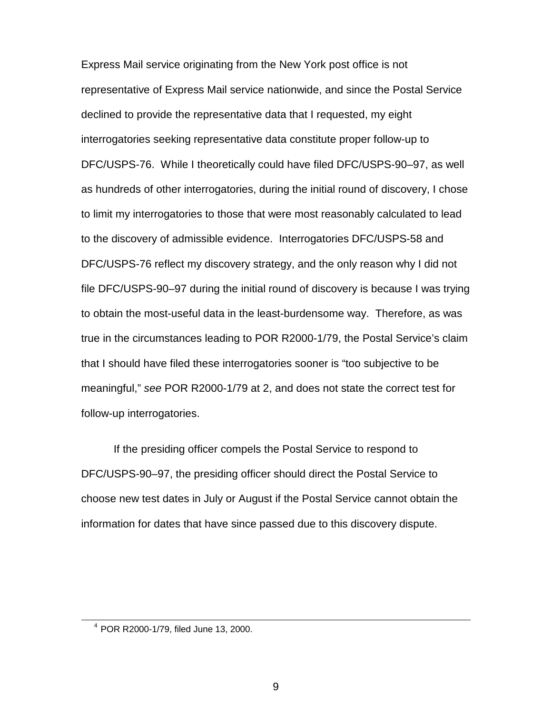Express Mail service originating from the New York post office is not representative of Express Mail service nationwide, and since the Postal Service declined to provide the representative data that I requested, my eight interrogatories seeking representative data constitute proper follow-up to DFC/USPS-76. While I theoretically could have filed DFC/USPS-90–97, as well as hundreds of other interrogatories, during the initial round of discovery, I chose to limit my interrogatories to those that were most reasonably calculated to lead to the discovery of admissible evidence. Interrogatories DFC/USPS-58 and DFC/USPS-76 reflect my discovery strategy, and the only reason why I did not file DFC/USPS-90–97 during the initial round of discovery is because I was trying to obtain the most-useful data in the least-burdensome way. Therefore, as was true in the circumstances leading to POR R2000-1/79, the Postal Service's claim that I should have filed these interrogatories sooner is "too subjective to be meaningful," see POR R2000-1/79 at 2, and does not state the correct test for follow-up interrogatories.

If the presiding officer compels the Postal Service to respond to DFC/USPS-90–97, the presiding officer should direct the Postal Service to choose new test dates in July or August if the Postal Service cannot obtain the information for dates that have since passed due to this discovery dispute.

<sup>4</sup> POR R2000-1/79, filed June 13, 2000.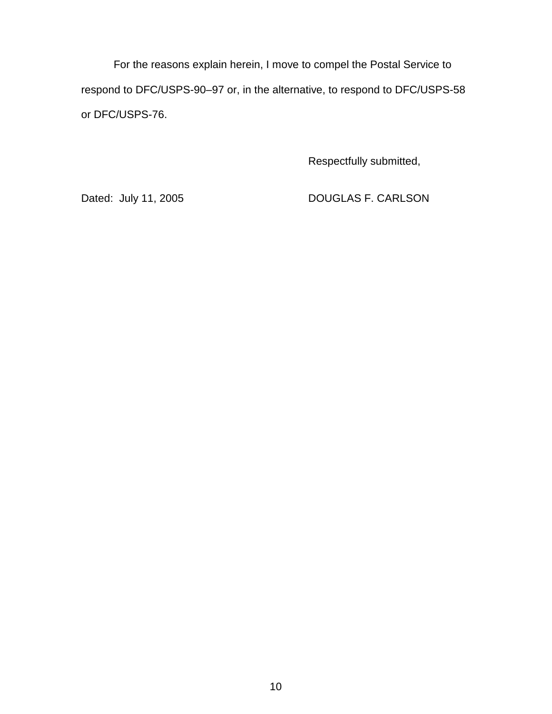For the reasons explain herein, I move to compel the Postal Service to respond to DFC/USPS-90–97 or, in the alternative, to respond to DFC/USPS-58 or DFC/USPS-76.

Respectfully submitted,

Dated: July 11, 2005 DOUGLAS F. CARLSON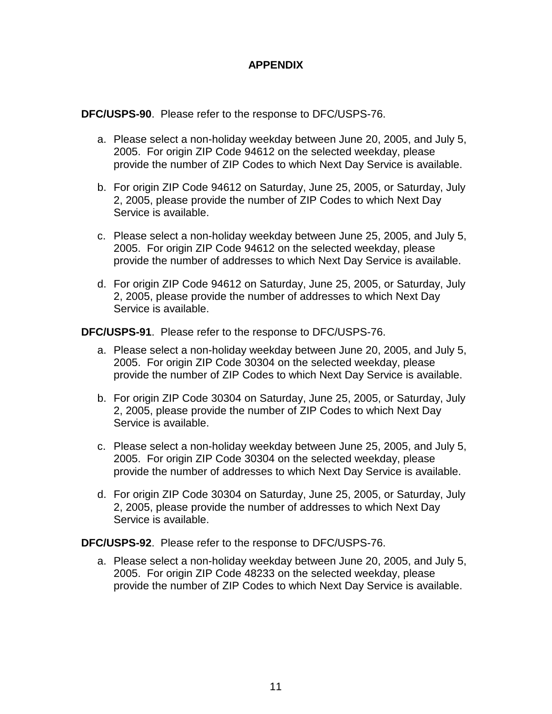# **APPENDIX**

**DFC/USPS-90**. Please refer to the response to DFC/USPS-76.

- a. Please select a non-holiday weekday between June 20, 2005, and July 5, 2005. For origin ZIP Code 94612 on the selected weekday, please provide the number of ZIP Codes to which Next Day Service is available.
- b. For origin ZIP Code 94612 on Saturday, June 25, 2005, or Saturday, July 2, 2005, please provide the number of ZIP Codes to which Next Day Service is available.
- c. Please select a non-holiday weekday between June 25, 2005, and July 5, 2005. For origin ZIP Code 94612 on the selected weekday, please provide the number of addresses to which Next Day Service is available.
- d. For origin ZIP Code 94612 on Saturday, June 25, 2005, or Saturday, July 2, 2005, please provide the number of addresses to which Next Day Service is available.

**DFC/USPS-91**. Please refer to the response to DFC/USPS-76.

- a. Please select a non-holiday weekday between June 20, 2005, and July 5, 2005. For origin ZIP Code 30304 on the selected weekday, please provide the number of ZIP Codes to which Next Day Service is available.
- b. For origin ZIP Code 30304 on Saturday, June 25, 2005, or Saturday, July 2, 2005, please provide the number of ZIP Codes to which Next Day Service is available.
- c. Please select a non-holiday weekday between June 25, 2005, and July 5, 2005. For origin ZIP Code 30304 on the selected weekday, please provide the number of addresses to which Next Day Service is available.
- d. For origin ZIP Code 30304 on Saturday, June 25, 2005, or Saturday, July 2, 2005, please provide the number of addresses to which Next Day Service is available.

**DFC/USPS-92**. Please refer to the response to DFC/USPS-76.

a. Please select a non-holiday weekday between June 20, 2005, and July 5, 2005. For origin ZIP Code 48233 on the selected weekday, please provide the number of ZIP Codes to which Next Day Service is available.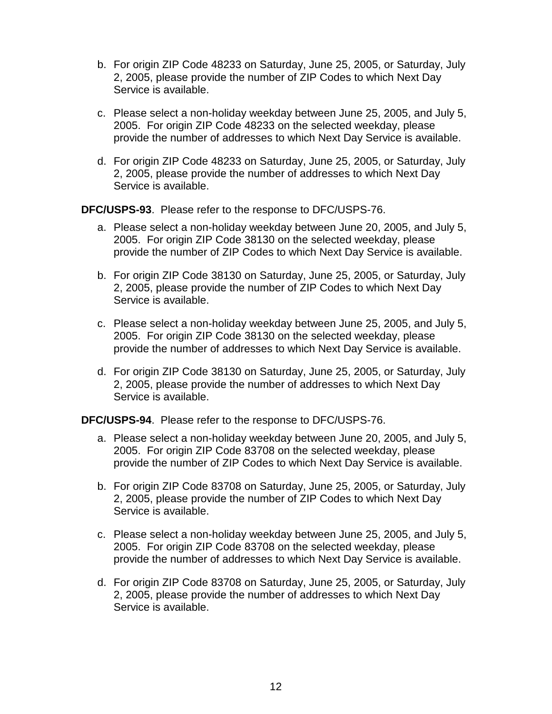- b. For origin ZIP Code 48233 on Saturday, June 25, 2005, or Saturday, July 2, 2005, please provide the number of ZIP Codes to which Next Day Service is available.
- c. Please select a non-holiday weekday between June 25, 2005, and July 5, 2005. For origin ZIP Code 48233 on the selected weekday, please provide the number of addresses to which Next Day Service is available.
- d. For origin ZIP Code 48233 on Saturday, June 25, 2005, or Saturday, July 2, 2005, please provide the number of addresses to which Next Day Service is available.

**DFC/USPS-93**. Please refer to the response to DFC/USPS-76.

- a. Please select a non-holiday weekday between June 20, 2005, and July 5, 2005. For origin ZIP Code 38130 on the selected weekday, please provide the number of ZIP Codes to which Next Day Service is available.
- b. For origin ZIP Code 38130 on Saturday, June 25, 2005, or Saturday, July 2, 2005, please provide the number of ZIP Codes to which Next Day Service is available.
- c. Please select a non-holiday weekday between June 25, 2005, and July 5, 2005. For origin ZIP Code 38130 on the selected weekday, please provide the number of addresses to which Next Day Service is available.
- d. For origin ZIP Code 38130 on Saturday, June 25, 2005, or Saturday, July 2, 2005, please provide the number of addresses to which Next Day Service is available.

**DFC/USPS-94**. Please refer to the response to DFC/USPS-76.

- a. Please select a non-holiday weekday between June 20, 2005, and July 5, 2005. For origin ZIP Code 83708 on the selected weekday, please provide the number of ZIP Codes to which Next Day Service is available.
- b. For origin ZIP Code 83708 on Saturday, June 25, 2005, or Saturday, July 2, 2005, please provide the number of ZIP Codes to which Next Day Service is available.
- c. Please select a non-holiday weekday between June 25, 2005, and July 5, 2005. For origin ZIP Code 83708 on the selected weekday, please provide the number of addresses to which Next Day Service is available.
- d. For origin ZIP Code 83708 on Saturday, June 25, 2005, or Saturday, July 2, 2005, please provide the number of addresses to which Next Day Service is available.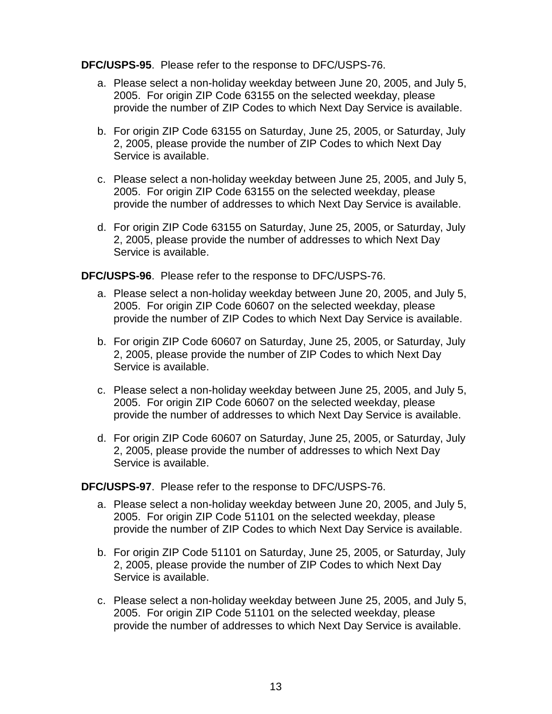### **DFC/USPS-95**. Please refer to the response to DFC/USPS-76.

- a. Please select a non-holiday weekday between June 20, 2005, and July 5, 2005. For origin ZIP Code 63155 on the selected weekday, please provide the number of ZIP Codes to which Next Day Service is available.
- b. For origin ZIP Code 63155 on Saturday, June 25, 2005, or Saturday, July 2, 2005, please provide the number of ZIP Codes to which Next Day Service is available.
- c. Please select a non-holiday weekday between June 25, 2005, and July 5, 2005. For origin ZIP Code 63155 on the selected weekday, please provide the number of addresses to which Next Day Service is available.
- d. For origin ZIP Code 63155 on Saturday, June 25, 2005, or Saturday, July 2, 2005, please provide the number of addresses to which Next Day Service is available.

**DFC/USPS-96**. Please refer to the response to DFC/USPS-76.

- a. Please select a non-holiday weekday between June 20, 2005, and July 5, 2005. For origin ZIP Code 60607 on the selected weekday, please provide the number of ZIP Codes to which Next Day Service is available.
- b. For origin ZIP Code 60607 on Saturday, June 25, 2005, or Saturday, July 2, 2005, please provide the number of ZIP Codes to which Next Day Service is available.
- c. Please select a non-holiday weekday between June 25, 2005, and July 5, 2005. For origin ZIP Code 60607 on the selected weekday, please provide the number of addresses to which Next Day Service is available.
- d. For origin ZIP Code 60607 on Saturday, June 25, 2005, or Saturday, July 2, 2005, please provide the number of addresses to which Next Day Service is available.

**DFC/USPS-97**. Please refer to the response to DFC/USPS-76.

- a. Please select a non-holiday weekday between June 20, 2005, and July 5, 2005. For origin ZIP Code 51101 on the selected weekday, please provide the number of ZIP Codes to which Next Day Service is available.
- b. For origin ZIP Code 51101 on Saturday, June 25, 2005, or Saturday, July 2, 2005, please provide the number of ZIP Codes to which Next Day Service is available.
- c. Please select a non-holiday weekday between June 25, 2005, and July 5, 2005. For origin ZIP Code 51101 on the selected weekday, please provide the number of addresses to which Next Day Service is available.